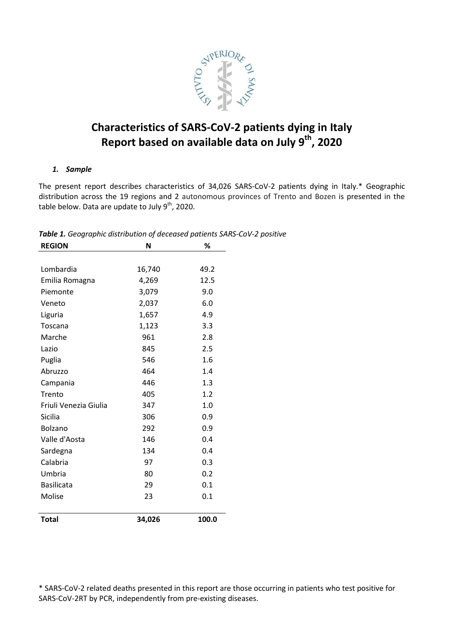

# **Characteristics of SARS-CoV-2 patients dying in Italy Report based on available data on July 9th, 2020**

# *1. Sample*

The present report describes characteristics of 34,026 SARS-CoV-2 patients dying in Italy.\* Geographic distribution across the 19 regions and 2 autonomous provinces of Trento and Bozen is presented in the table below. Data are update to July  $9<sup>th</sup>$ , 2020.

| <b>REGION</b>         | %<br>N |       |  |
|-----------------------|--------|-------|--|
|                       |        |       |  |
| Lombardia             | 16,740 | 49.2  |  |
| Emilia Romagna        | 4,269  | 12.5  |  |
| Piemonte              | 3,079  | 9.0   |  |
| Veneto                | 2,037  | 6.0   |  |
| Liguria               | 1,657  | 4.9   |  |
| Toscana               | 1,123  | 3.3   |  |
| Marche                | 961    | 2.8   |  |
| Lazio                 | 845    | 2.5   |  |
| Puglia                | 546    | 1.6   |  |
| Abruzzo               | 464    | 1.4   |  |
| Campania              | 446    | 1.3   |  |
| Trento                | 405    | 1.2   |  |
| Friuli Venezia Giulia | 347    | 1.0   |  |
| Sicilia               | 306    | 0.9   |  |
| Bolzano               | 292    | 0.9   |  |
| Valle d'Aosta         | 146    | 0.4   |  |
| Sardegna              | 134    | 0.4   |  |
| Calabria              | 97     | 0.3   |  |
| Umbria                | 80     | 0.2   |  |
| <b>Basilicata</b>     | 29     | 0.1   |  |
| Molise                | 23     | 0.1   |  |
| <b>Total</b>          | 34,026 | 100.0 |  |

*Table 1. Geographic distribution of deceased patients SARS-CoV-2 positive*

\* SARS-CoV-2 related deaths presented in this report are those occurring in patients who test positive for SARS-CoV-2RT by PCR, independently from pre-existing diseases.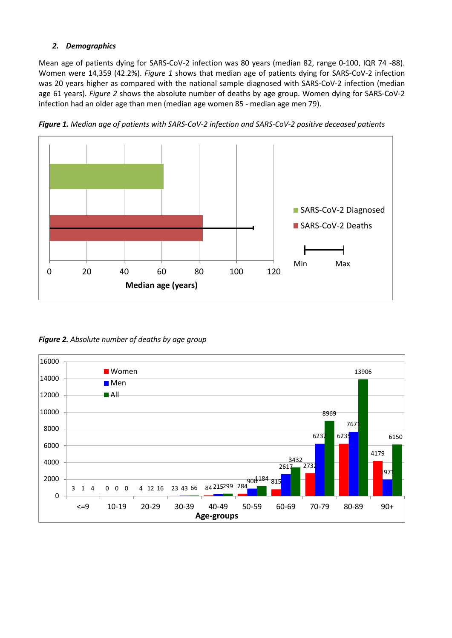# *2. Demographics*

Mean age of patients dying for SARS-CoV-2 infection was 80 years (median 82, range 0-100, IQR 74 -88). Women were 14,359 (42.2%). *Figure 1* shows that median age of patients dying for SARS-CoV-2 infection was 20 years higher as compared with the national sample diagnosed with SARS-CoV-2 infection (median age 61 years). *Figure 2* shows the absolute number of deaths by age group. Women dying for SARS-CoV-2 infection had an older age than men (median age women 85 - median age men 79).



*Figure 1. Median age of patients with SARS-CoV-2 infection and SARS-CoV-2 positive deceased patients*

*Figure 2. Absolute number of deaths by age group*

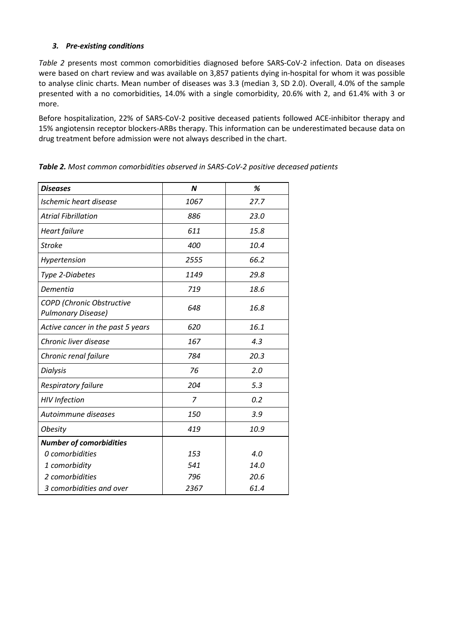# *3. Pre-existing conditions*

*Table 2* presents most common comorbidities diagnosed before SARS-CoV-2 infection. Data on diseases were based on chart review and was available on 3,857 patients dying in-hospital for whom it was possible to analyse clinic charts. Mean number of diseases was 3.3 (median 3, SD 2.0). Overall, 4.0% of the sample presented with a no comorbidities, 14.0% with a single comorbidity, 20.6% with 2, and 61.4% with 3 or more.

Before hospitalization, 22% of SARS-CoV-2 positive deceased patients followed ACE-inhibitor therapy and 15% angiotensin receptor blockers-ARBs therapy. This information can be underestimated because data on drug treatment before admission were not always described in the chart.

| <b>Diseases</b>                                        | $\boldsymbol{N}$ | %    |
|--------------------------------------------------------|------------------|------|
| Ischemic heart disease                                 | 1067             | 27.7 |
| <b>Atrial Fibrillation</b>                             | 886              | 23.0 |
| <b>Heart failure</b>                                   | 611              | 15.8 |
| <b>Stroke</b>                                          | 400              | 10.4 |
| Hypertension                                           | 2555             | 66.2 |
| Type 2-Diabetes                                        | 1149             | 29.8 |
| Dementia                                               | 719              | 18.6 |
| COPD (Chronic Obstructive<br><b>Pulmonary Disease)</b> | 648              | 16.8 |
| Active cancer in the past 5 years                      | 620              | 16.1 |
| Chronic liver disease                                  | 167              | 4.3  |
| Chronic renal failure                                  | 784              | 20.3 |
| <b>Dialysis</b>                                        | 76               | 2.0  |
| Respiratory failure                                    | 204              | 5.3  |
| <b>HIV</b> Infection                                   | $\overline{7}$   | 0.2  |
| Autoimmune diseases                                    | 150              | 3.9  |
| <b>Obesity</b>                                         | 419              | 10.9 |
| <b>Number of comorbidities</b>                         |                  |      |
| 0 comorbidities                                        | 153              | 4.0  |
| 1 comorbidity                                          | 541              | 14.0 |
| 2 comorbidities                                        | 796              | 20.6 |
| 3 comorbidities and over                               | 2367             | 61.4 |

*Table 2. Most common comorbidities observed in SARS-CoV-2 positive deceased patients*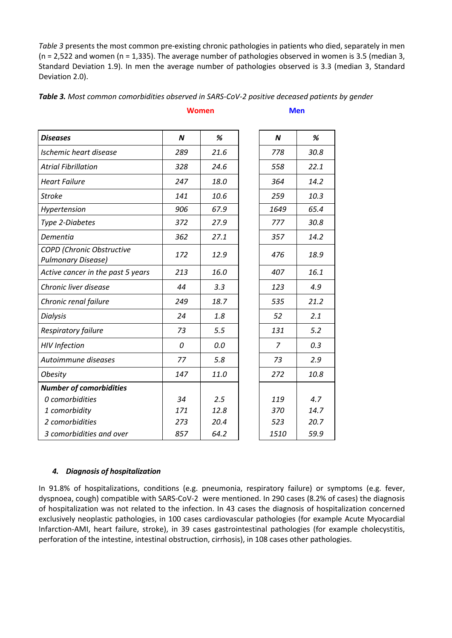*Table 3* presents the most common pre-existing chronic pathologies in patients who died, separately in men  $(n = 2.522)$  and women  $(n = 1.335)$ . The average number of pathologies observed in women is 3.5 (median 3, Standard Deviation 1.9). In men the average number of pathologies observed is 3.3 (median 3, Standard Deviation 2.0).

**Women Men**

| <b>Diseases</b>                                               | $\boldsymbol{N}$ | %    | $\boldsymbol{N}$ | %    |
|---------------------------------------------------------------|------------------|------|------------------|------|
| Ischemic heart disease                                        | 289              | 21.6 | 778              | 30.8 |
| <b>Atrial Fibrillation</b>                                    | 328              | 24.6 | 558              | 22.1 |
| <b>Heart Failure</b>                                          | 247              | 18.0 | 364              | 14.2 |
| <b>Stroke</b>                                                 | 141              | 10.6 | 259              | 10.3 |
| Hypertension                                                  | 906              | 67.9 | 1649             | 65.4 |
| Type 2-Diabetes                                               | 372              | 27.9 | 777              | 30.8 |
| Dementia                                                      | 362              | 27.1 | 357              | 14.2 |
| <b>COPD</b> (Chronic Obstructive<br><b>Pulmonary Disease)</b> | 172              | 12.9 | 476              | 18.9 |
| Active cancer in the past 5 years                             | 213              | 16.0 | 407              | 16.1 |
| Chronic liver disease                                         | 44               | 3.3  | 123              | 4.9  |
| Chronic renal failure                                         | 249              | 18.7 | 535              | 21.2 |
| <b>Dialysis</b>                                               | 24               | 1.8  | 52               | 2.1  |
| Respiratory failure                                           | 73               | 5.5  | 131              | 5.2  |
| <b>HIV</b> Infection                                          | 0                | 0.0  | $\overline{7}$   | 0.3  |
| Autoimmune diseases                                           | 77               | 5.8  | 73               | 2.9  |
| <b>Obesity</b>                                                | 147              | 11.0 | 272              | 10.8 |
| <b>Number of comorbidities</b>                                |                  |      |                  |      |
| 0 comorbidities                                               | 34               | 2.5  | 119              | 4.7  |
| 1 comorbidity                                                 | 171              | 12.8 | 370              | 14.7 |
| 2 comorbidities                                               | 273              | 20.4 | 523              | 20.7 |
| 3 comorbidities and over                                      | 857              | 64.2 | 1510             | 59.9 |

# *Table 3. Most common comorbidities observed in SARS-CoV-2 positive deceased patients by gender*

# *4. Diagnosis of hospitalization*

In 91.8% of hospitalizations, conditions (e.g. pneumonia, respiratory failure) or symptoms (e.g. fever, dyspnoea, cough) compatible with SARS-CoV-2 were mentioned. In 290 cases (8.2% of cases) the diagnosis of hospitalization was not related to the infection. In 43 cases the diagnosis of hospitalization concerned exclusively neoplastic pathologies, in 100 cases cardiovascular pathologies (for example Acute Myocardial Infarction-AMI, heart failure, stroke), in 39 cases gastrointestinal pathologies (for example cholecystitis, perforation of the intestine, intestinal obstruction, cirrhosis), in 108 cases other pathologies.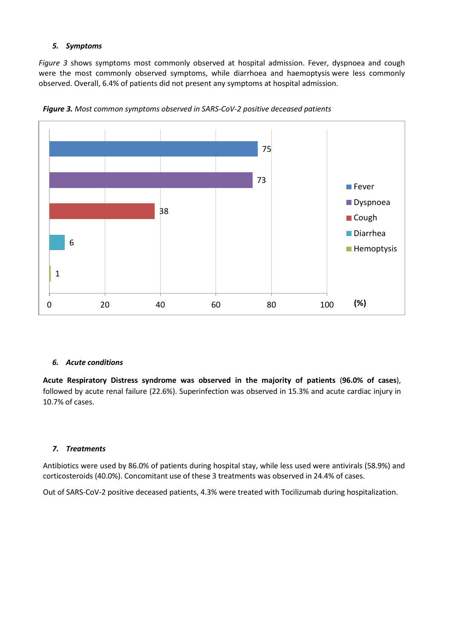# *5. Symptoms*

*Figure 3* shows symptoms most commonly observed at hospital admission. Fever, dyspnoea and cough were the most commonly observed symptoms, while diarrhoea and [haemoptysis](https://context.reverso.net/translation/english-italian/Hemoptysis) were less commonly observed. Overall, 6.4% of patients did not present any symptoms at hospital admission.



*Figure 3. Most common symptoms observed in SARS-CoV-2 positive deceased patients*

#### *6. Acute conditions*

**Acute Respiratory Distress syndrome was observed in the majority of patients** (**96.0% of cases**), followed by acute renal failure (22.6%). Superinfection was observed in 15.3% and acute cardiac injury in 10.7% of cases.

#### *7. Treatments*

Antibiotics were used by 86.0% of patients during hospital stay, while less used were antivirals (58.9%) and corticosteroids (40.0%). Concomitant use of these 3 treatments was observed in 24.4% of cases.

Out of SARS-CoV-2 positive deceased patients, 4.3% were treated with Tocilizumab during hospitalization.